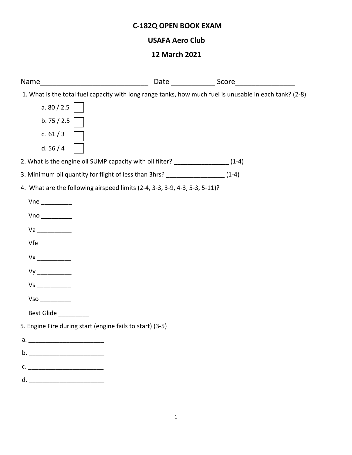# **C-182Q OPEN BOOK EXAM**

## **USAFA Aero Club**

### **12 March 2021**

| 1. What is the total fuel capacity with long range tanks, how much fuel is unusable in each tank? (2-8) |  |
|---------------------------------------------------------------------------------------------------------|--|
| a. $80 / 2.5$                                                                                           |  |
| b.75/2.5                                                                                                |  |
| c. $61/3$                                                                                               |  |
| d. $56/4$                                                                                               |  |
| 2. What is the engine oil SUMP capacity with oil filter? ____________________ (1-4)                     |  |
| 3. Minimum oil quantity for flight of less than 3hrs? _____________________ (1-4)                       |  |
| 4. What are the following airspeed limits (2-4, 3-3, 3-9, 4-3, 5-3, 5-11)?                              |  |
|                                                                                                         |  |
|                                                                                                         |  |
|                                                                                                         |  |
|                                                                                                         |  |
|                                                                                                         |  |
|                                                                                                         |  |
|                                                                                                         |  |
|                                                                                                         |  |
| Best Glide                                                                                              |  |
| 5. Engine Fire during start (engine fails to start) (3-5)                                               |  |
| $a.$ $\qquad \qquad$                                                                                    |  |
|                                                                                                         |  |
| $\mathsf{C}$ .                                                                                          |  |
| d. <u>_______________</u>                                                                               |  |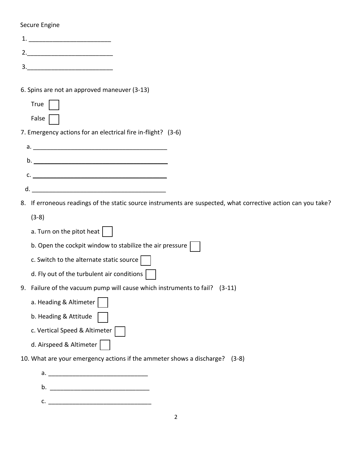### Secure Engine

| 1.                                                                                                            |
|---------------------------------------------------------------------------------------------------------------|
| 2.                                                                                                            |
|                                                                                                               |
| 6. Spins are not an approved maneuver (3-13)                                                                  |
| <b>True</b>                                                                                                   |
| False                                                                                                         |
| 7. Emergency actions for an electrical fire in-flight? (3-6)                                                  |
|                                                                                                               |
|                                                                                                               |
|                                                                                                               |
| c.                                                                                                            |
| d.                                                                                                            |
| 8. If erroneous readings of the static source instruments are suspected, what corrective action can you take? |
| $(3-8)$                                                                                                       |
| a. Turn on the pitot heat $\vert \ \ \vert$                                                                   |
| b. Open the cockpit window to stabilize the air pressure $ $                                                  |
| c. Switch to the alternate static source $\vert$                                                              |
| d. Fly out of the turbulent air conditions                                                                    |
| 9. Failure of the vacuum pump will cause which instruments to fail?<br>$(3-11)$                               |
| a. Heading & Altimeter                                                                                        |
| b. Heading & Attitude                                                                                         |
| c. Vertical Speed & Altimeter                                                                                 |
| d. Airspeed & Altimeter                                                                                       |
| 10. What are your emergency actions if the ammeter shows a discharge? (3-8)                                   |
|                                                                                                               |
|                                                                                                               |
|                                                                                                               |
|                                                                                                               |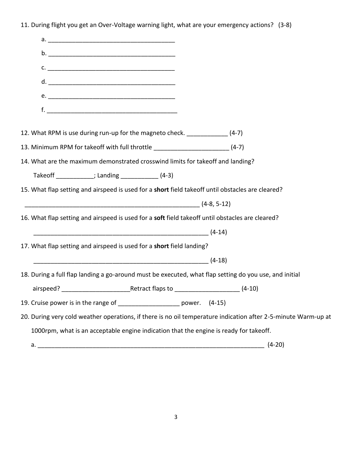11. During flight you get an Over-Voltage warning light, what are your emergency actions? (3-8)

|                                                                                                   | $c.$ $\overline{\phantom{a}}$                                                          |  |                                                                                                                |
|---------------------------------------------------------------------------------------------------|----------------------------------------------------------------------------------------|--|----------------------------------------------------------------------------------------------------------------|
|                                                                                                   |                                                                                        |  |                                                                                                                |
|                                                                                                   |                                                                                        |  |                                                                                                                |
|                                                                                                   |                                                                                        |  |                                                                                                                |
|                                                                                                   |                                                                                        |  |                                                                                                                |
| 12. What RPM is use during run-up for the magneto check. ______________ (4-7)                     |                                                                                        |  |                                                                                                                |
| 13. Minimum RPM for takeoff with full throttle _________________________________ (4-7)            |                                                                                        |  |                                                                                                                |
| 14. What are the maximum demonstrated crosswind limits for takeoff and landing?                   |                                                                                        |  |                                                                                                                |
|                                                                                                   | Takeoff ___________; Landing ______________(4-3)                                       |  |                                                                                                                |
| 15. What flap setting and airspeed is used for a short field takeoff until obstacles are cleared? |                                                                                        |  |                                                                                                                |
|                                                                                                   | $(4-8, 5-12)$                                                                          |  |                                                                                                                |
| 16. What flap setting and airspeed is used for a soft field takeoff until obstacles are cleared?  |                                                                                        |  |                                                                                                                |
|                                                                                                   |                                                                                        |  |                                                                                                                |
| 17. What flap setting and airspeed is used for a short field landing?                             |                                                                                        |  |                                                                                                                |
|                                                                                                   |                                                                                        |  |                                                                                                                |
|                                                                                                   |                                                                                        |  | 18. During a full flap landing a go-around must be executed, what flap setting do you use, and initial         |
|                                                                                                   |                                                                                        |  |                                                                                                                |
|                                                                                                   |                                                                                        |  |                                                                                                                |
| 19. Cruise power is in the range of ________________________ power. (4-15)                        |                                                                                        |  |                                                                                                                |
|                                                                                                   |                                                                                        |  | 20. During very cold weather operations, if there is no oil temperature indication after 2-5-minute Warm-up at |
|                                                                                                   | 1000rpm, what is an acceptable engine indication that the engine is ready for takeoff. |  |                                                                                                                |
| a.                                                                                                |                                                                                        |  | $(4-20)$                                                                                                       |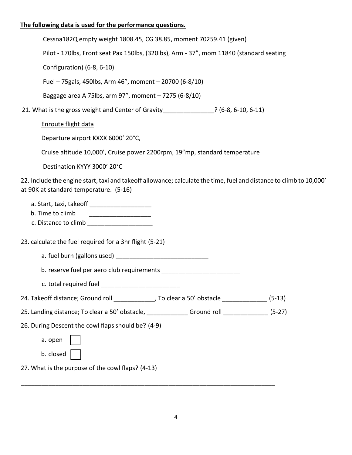## **The following data is used for the performance questions.**

| Cessna182Q empty weight 1808.45, CG 38.85, moment 70259.41 (given)                                                                                            |  |
|---------------------------------------------------------------------------------------------------------------------------------------------------------------|--|
| Pilot - 170lbs, Front seat Pax 150lbs, (320lbs), Arm - 37", mom 11840 (standard seating                                                                       |  |
| Configuration) (6-8, 6-10)                                                                                                                                    |  |
| Fuel - 75 gals, 450lbs, Arm 46", moment - 20700 (6-8/10)                                                                                                      |  |
| Baggage area A 75lbs, arm 97", moment - 7275 (6-8/10)                                                                                                         |  |
| 21. What is the gross weight and Center of Gravity ______________? (6-8, 6-10, 6-11)                                                                          |  |
| Enroute flight data                                                                                                                                           |  |
| Departure airport KXXX 6000' 20°C,                                                                                                                            |  |
| Cruise altitude 10,000', Cruise power 2200rpm, 19"mp, standard temperature                                                                                    |  |
| Destination KYYY 3000' 20°C                                                                                                                                   |  |
| 22. Include the engine start, taxi and takeoff allowance; calculate the time, fuel and distance to climb to 10,000'<br>at 90K at standard temperature. (5-16) |  |
| a. Start, taxi, takeoff ________________________<br>b. Time to climb<br>c. Distance to climb _______________________                                          |  |
| 23. calculate the fuel required for a 3hr flight (5-21)                                                                                                       |  |
|                                                                                                                                                               |  |
|                                                                                                                                                               |  |
| c. total required fuel                                                                                                                                        |  |
| 24. Takeoff distance; Ground roll ______________, To clear a 50' obstacle ______________ (5-13)                                                               |  |
| 25. Landing distance; To clear a 50' obstacle, _______________Ground roll _______________ (5-27)                                                              |  |
| 26. During Descent the cowl flaps should be? (4-9)                                                                                                            |  |
| a. open                                                                                                                                                       |  |
| b. closed                                                                                                                                                     |  |
| 27. What is the purpose of the cowl flaps? (4-13)                                                                                                             |  |
|                                                                                                                                                               |  |